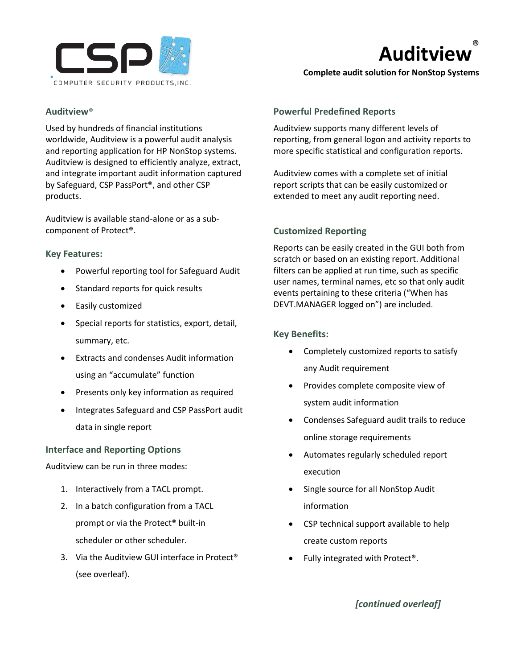

# **Auditview** ®

**Complete audit solution for NonStop Systems**

# **Auditview**®

Used by hundreds of financial institutions worldwide, Auditview is a powerful audit analysis and reporting application for HP NonStop systems. Auditview is designed to efficiently analyze, extract, and integrate important audit information captured by Safeguard, CSP PassPort®, and other CSP products.

Auditview is available stand-alone or as a subcomponent of Protect®.

## **Key Features:**

- Powerful reporting tool for Safeguard Audit
- Standard reports for quick results
- Easily customized
- Special reports for statistics, export, detail, summary, etc.
- Extracts and condenses Audit information using an "accumulate" function
- Presents only key information as required
- Integrates Safeguard and CSP PassPort audit data in single report

# **Interface and Reporting Options**

Auditview can be run in three modes:

- 1. Interactively from a TACL prompt.
- 2. In a batch configuration from a TACL prompt or via the Protect® built-in scheduler or other scheduler.
- 3. Via the Auditview GUI interface in Protect® (see overleaf).

#### **Powerful Predefined Reports**

Auditview supports many different levels of reporting, from general logon and activity reports to more specific statistical and configuration reports.

Auditview comes with a complete set of initial report scripts that can be easily customized or extended to meet any audit reporting need.

## **Customized Reporting**

Reports can be easily created in the GUI both from scratch or based on an existing report. Additional filters can be applied at run time, such as specific user names, terminal names, etc so that only audit events pertaining to these criteria ("When has DEVT.MANAGER logged on") are included.

## **Key Benefits:**

- Completely customized reports to satisfy any Audit requirement
- Provides complete composite view of system audit information
- Condenses Safeguard audit trails to reduce online storage requirements
- Automates regularly scheduled report execution
- Single source for all NonStop Audit information
- CSP technical support available to help create custom reports
- Fully integrated with Protect®.

*[continued overleaf]*